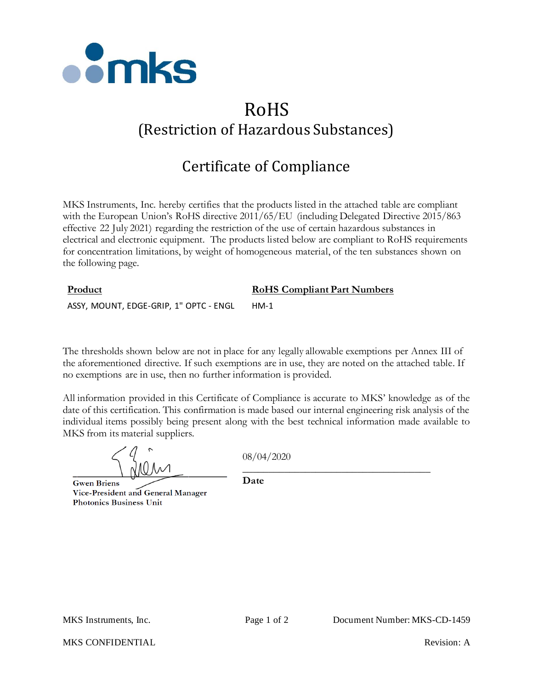

# RoHS (Restriction of Hazardous Substances)

# Certificate of Compliance

MKS Instruments, Inc. hereby certifies that the products listed in the attached table are compliant with the European Union's RoHS directive 2011/65/EU (including Delegated Directive 2015/863 effective 22 July 2021) regarding the restriction of the use of certain hazardous substances in electrical and electronic equipment. The products listed below are compliant to RoHS requirements for concentration limitations, by weight of homogeneous material, of the ten substances shown on the following page.

## **Product RoHS Compliant Part Numbers** ASSY, MOUNT, EDGE-GRIP, 1" OPTC - ENGL HM-1

The thresholds shown below are not in place for any legally allowable exemptions per Annex III of the aforementioned directive. If such exemptions are in use, they are noted on the attached table. If no exemptions are in use, then no further information is provided.

All information provided in this Certificate of Compliance is accurate to MKS' knowledge as of the date of this certification. This confirmation is made based our internal engineering risk analysis of the individual items possibly being present along with the best technical information made available to MKS from its material suppliers.

**Gwen Briens** Vice-President and General Manager **Photonics Business Unit** 

08/04/2020

\_\_\_\_\_\_\_\_\_\_\_\_\_\_\_\_\_\_\_\_\_\_\_\_\_\_\_\_\_\_\_\_\_\_\_\_

**Date**